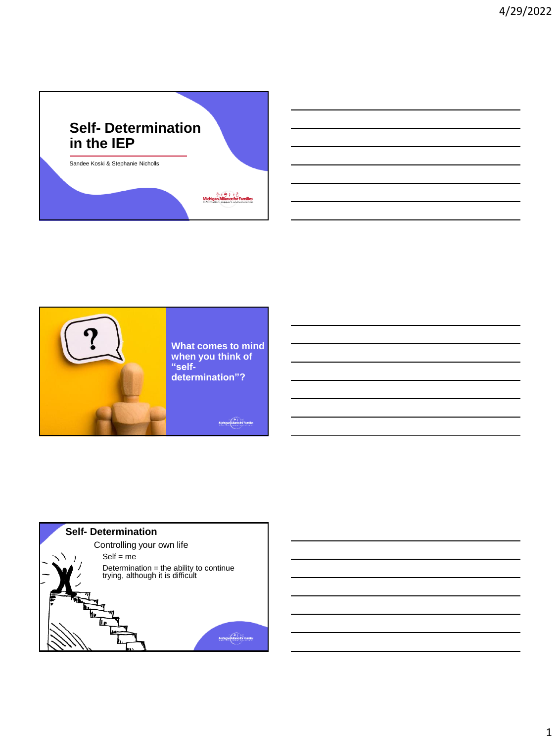



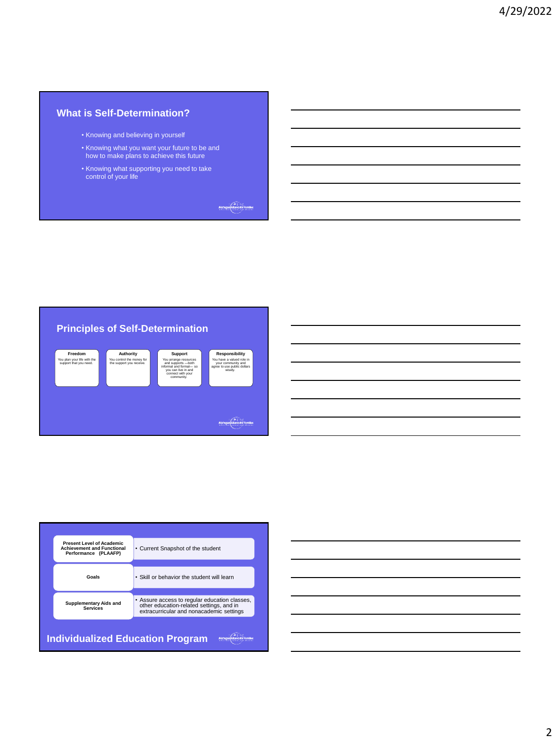# **What is Self-Determination?**

- Knowing and believing in yourself
- Knowing what you want your future to be and how to make plans to achieve this future
- Knowing what supporting you need to take control of your life

Michigan (Illian e for Families



| <b>Present Level of Academic</b><br><b>Achievement and Functional</b><br>Performance (PLAAFP)                                                                                             | • Current Snapshot of the student          |  |
|-------------------------------------------------------------------------------------------------------------------------------------------------------------------------------------------|--------------------------------------------|--|
| Goals                                                                                                                                                                                     | . Skill or behavior the student will learn |  |
| . Assure access to regular education classes,<br><b>Supplementary Aids and</b><br>other education-related settings, and in<br><b>Services</b><br>extracurricular and nonacademic settings |                                            |  |
| <b>Individualized Education Program</b>                                                                                                                                                   |                                            |  |

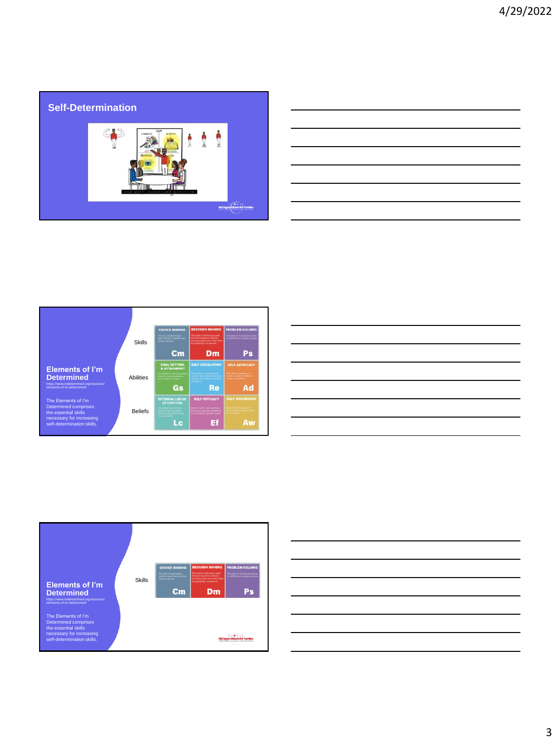# **Self-Determination**  $63$  $\begin{picture}(20,10) \put(0,0){\line(1,0){10}} \put(15,0){\line(1,0){10}} \put(15,0){\line(1,0){10}} \put(15,0){\line(1,0){10}} \put(15,0){\line(1,0){10}} \put(15,0){\line(1,0){10}} \put(15,0){\line(1,0){10}} \put(15,0){\line(1,0){10}} \put(15,0){\line(1,0){10}} \put(15,0){\line(1,0){10}} \put(15,0){\line(1,0){10}} \put(15,0){\line(1$

| <b>Contract Contract</b> |
|--------------------------|
|                          |
|                          |
|                          |
|                          |
|                          |
|                          |



| <u> 1989 - Andrea Andrew Maria (h. 1989).</u> |  | and the control of the con- |
|-----------------------------------------------|--|-----------------------------|
|                                               |  | ___                         |
|                                               |  |                             |
|                                               |  |                             |



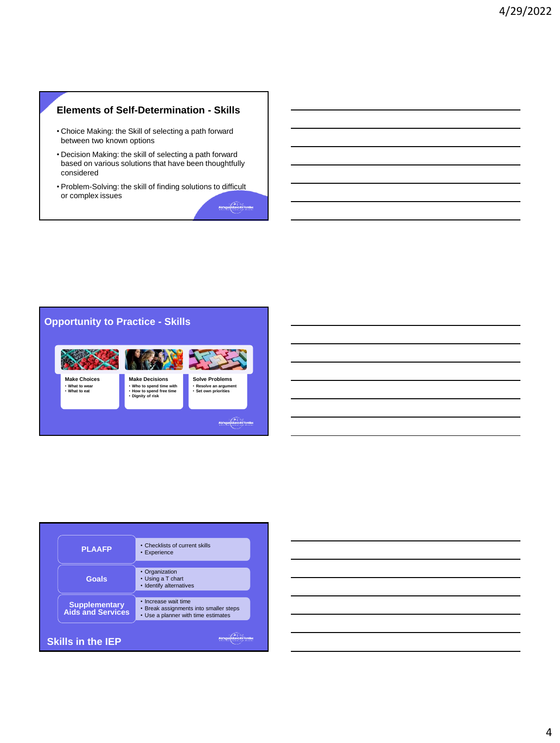# **Elements of Self-Determination - Skills**

- Choice Making: the Skill of selecting a path forward between two known options
- Decision Making: the skill of selecting a path forward based on various solutions that have been thoughtfully considered
- Problem-Solving: the skill of finding solutions to difficult or complex issues Michigan Hisnochor Families



| <b>PLAAFP</b>                                    | • Checklists of current skills<br>• Experience                                                        |
|--------------------------------------------------|-------------------------------------------------------------------------------------------------------|
| Goals                                            | • Organization<br>• Using a T chart<br>• Identify alternatives                                        |
| <b>Supplementary</b><br><b>Aids and Services</b> | • Increase wait time<br>• Break assignments into smaller steps<br>• Use a planner with time estimates |
| <b>Skills in the IEP</b>                         |                                                                                                       |

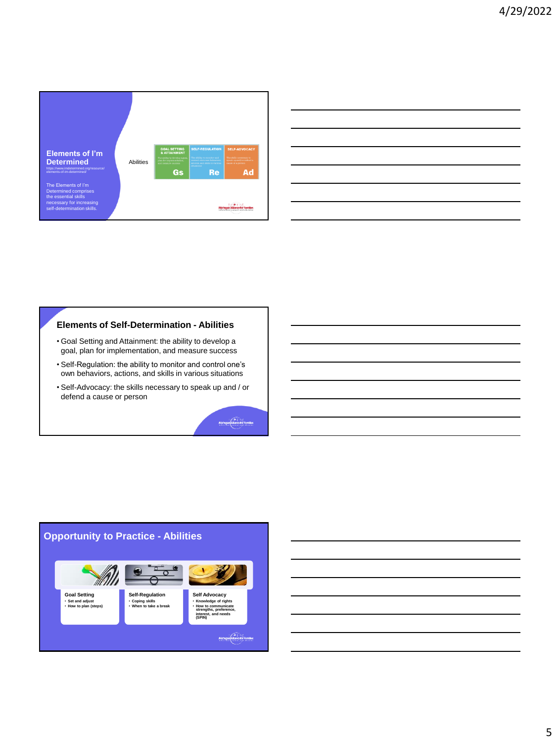

| <u> 1989 - Johann Stoff, amerikansk politiker (* 1908)</u> |                                                                                                                  |  |  |
|------------------------------------------------------------|------------------------------------------------------------------------------------------------------------------|--|--|
|                                                            |                                                                                                                  |  |  |
|                                                            | and the control of the control of the control of the control of the control of the control of the control of the |  |  |

#### **Elements of Self-Determination - Abilities**

- Goal Setting and Attainment: the ability to develop a goal, plan for implementation, and measure success
- Self-Regulation: the ability to monitor and control one's own behaviors, actions, and skills in various situations
- Self-Advocacy: the skills necessary to speak up and / or defend a cause or person

Michigan Manus for Families

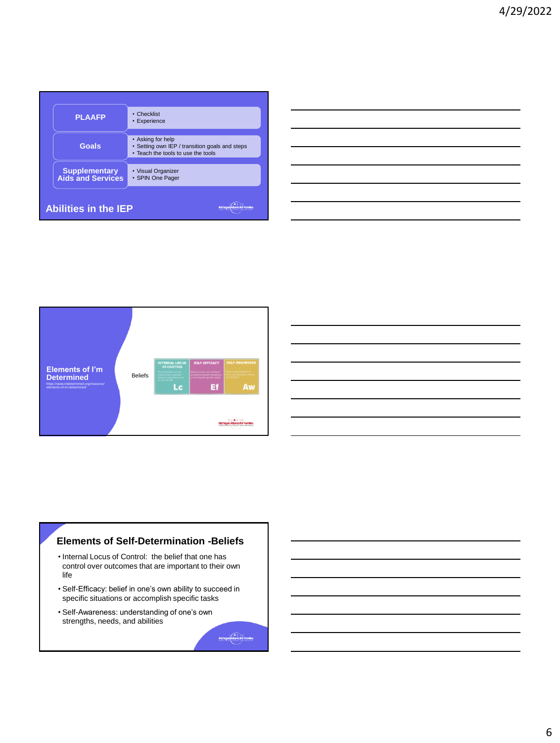| <b>PLAAFP</b>                                    | • Checklist<br>• Experience                                                                               |  |  |
|--------------------------------------------------|-----------------------------------------------------------------------------------------------------------|--|--|
| Goals                                            | • Asking for help<br>• Setting own IEP / transition goals and steps<br>. Teach the tools to use the tools |  |  |
| <b>Supplementary</b><br><b>Aids and Services</b> | • Visual Organizer<br>• SPIN One Pager                                                                    |  |  |
| <b>Abilities in the IEP</b>                      |                                                                                                           |  |  |





- Internal Locus of Control: the belief that one has control over outcomes that are important to their own life
- Self-Efficacy: belief in one's own ability to succeed in specific situations or accomplish specific tasks

Michigan Pillance for Families

• Self-Awareness: understanding of one's own strengths, needs, and abilities

6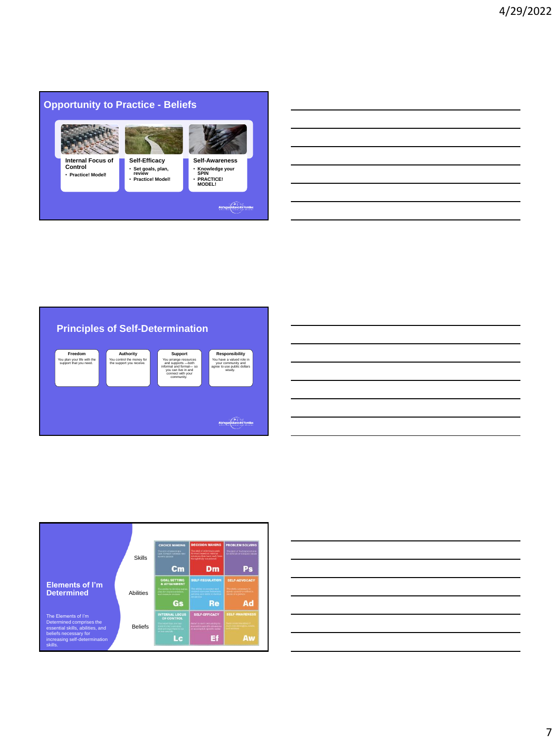#### **Opportunity to Practice - Beliefs** ₿R.  $\mathcal{L}_{\text{max}}$ **Self-Efficacy Self-Awareness Internal Focus of Control** • **Set goals, plan, review** • **Practice! Model!** • **Knowledge your SPIN** • **Practice! Model!** • **PRACTICE! MODEL!** Michigan (Michigan Families





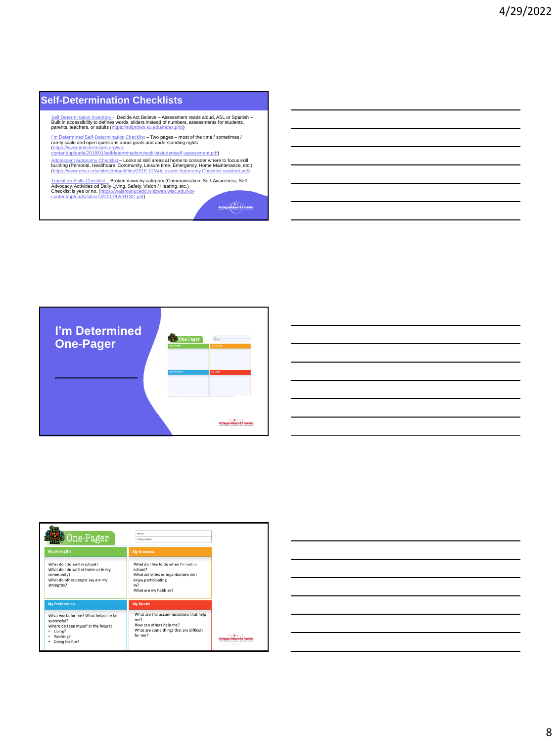### **Self-Determination Checklists**

<u>Self Determination Inventory</u> - Decide Act Believe – Assessment reads aloud, ASL or Spanish –<br>Built in accessibility to defines words, sliders instead of numbers, assessments for students,<br>parents, teachers, or adults (h

I'm <u>Determined Self-Determination Checklist</u> – Two pages – most of the time / sometimes /<br>rarely scale and open questions about goals and understanding rights<br>(https://www.imdetermined.org/wp-<br>content/uploads/2018/01/self

<u>Adolescent Autonomy Checklist</u> – L<mark>ooks at skill areas at home to consider where to focus skill<br>building (Personal, Healthcare, Community, Leisure time, Emergency, Home Maintenance, etc.)<br>(https://www.ohsu.edu/sites/defau</mark>

<u>[Transition Skills Checklist –](https://waismanucedd.wiscweb.wisc.edu/wp-content/uploads/sites/74/2017/05/HTSC.pdf)</u> Broken down by category (Communication, Self-Awareness, Self-<br>Advocacy, Act[iv](https://waismanucedd.wiscweb.wisc.edu/wp-content/uploads/sites/74/2017/05/HTSC.pdf)ities od Daily L∖ving, Safety, Vision / Hearing, etc.)<br>Checklist is yes or no. (https://waismanucedd.wiscweb.wis

Michigan Pillarke for Families



| One-Pager                                                                                                                           | Names<br>Today's Date:                                                                                                                         |                                          |
|-------------------------------------------------------------------------------------------------------------------------------------|------------------------------------------------------------------------------------------------------------------------------------------------|------------------------------------------|
| <b>My Strengths</b>                                                                                                                 | <b>My Interests</b>                                                                                                                            |                                          |
| What do I do well in school?<br>What do I do well at home or in my<br>community?<br>What do other people say are my<br>strengths?   | What do I like to do when I'm not in<br>school?<br>What activities or organizations do I<br>enjoy participating<br>in?<br>What are my hobbies? |                                          |
| <b>My Preferences</b>                                                                                                               | <b>My Needs</b>                                                                                                                                |                                          |
| What works for me? What helps me be<br>Successful?<br>Where do I see myself in the future:<br>Living?<br>Working?<br>Doing for fun? | What are the accommodations that help<br>me?<br>How can others help me?<br>What are some things that are difficult<br>for me?                  | tedoconamies, excluded capital education |

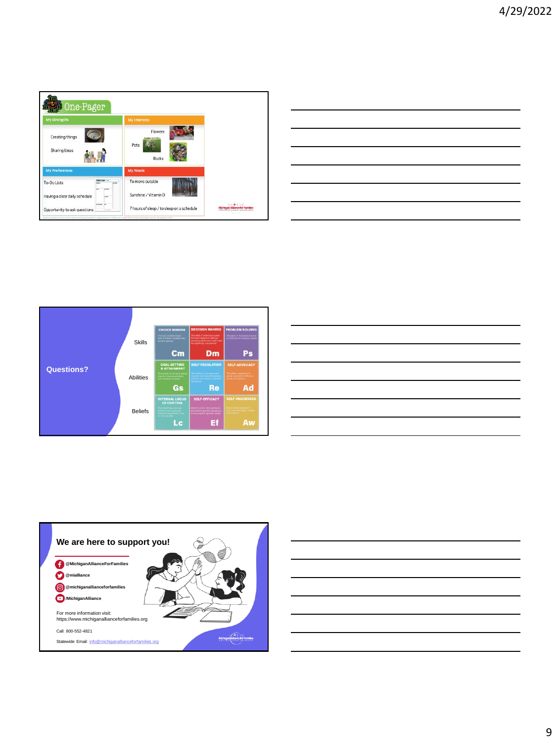



| ________                                                                                                            |  |  |
|---------------------------------------------------------------------------------------------------------------------|--|--|
|                                                                                                                     |  |  |
| _____                                                                                                               |  |  |
| $\overbrace{\hspace{25mm}}^{}$                                                                                      |  |  |
| and the contract of the contract of the contract of the contract of the contract of the contract of the contract of |  |  |
| ,我们的人们就会在这里,我们的人们就会在这里,我们的人们就会在这里,我们的人们就会在这里,我们的人们就会在这里,我们的人们就会在这里,我们的人们就会在这里,我们                                    |  |  |